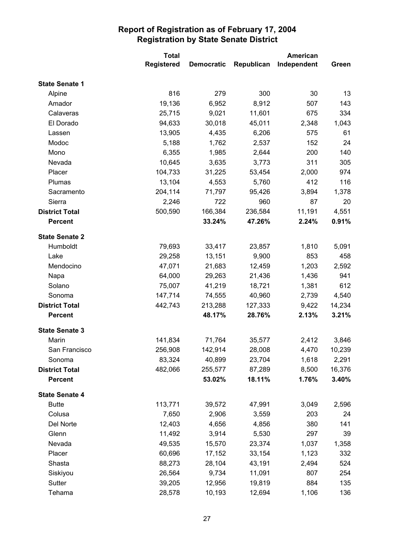|                       | <b>Total</b>      |                   | <b>American</b> |             |        |
|-----------------------|-------------------|-------------------|-----------------|-------------|--------|
|                       | <b>Registered</b> | <b>Democratic</b> | Republican      | Independent | Green  |
| <b>State Senate 1</b> |                   |                   |                 |             |        |
| Alpine                | 816               | 279               | 300             | 30          | 13     |
| Amador                | 19,136            | 6,952             | 8,912           | 507         | 143    |
| Calaveras             | 25,715            | 9,021             | 11,601          | 675         | 334    |
| El Dorado             | 94,633            | 30,018            | 45,011          | 2,348       | 1,043  |
| Lassen                | 13,905            | 4,435             | 6,206           | 575         | 61     |
| Modoc                 | 5,188             | 1,762             | 2,537           | 152         | 24     |
| Mono                  | 6,355             | 1,985             | 2,644           | 200         | 140    |
| Nevada                | 10,645            | 3,635             | 3,773           | 311         | 305    |
| Placer                | 104,733           | 31,225            | 53,454          | 2,000       | 974    |
| Plumas                | 13,104            | 4,553             | 5,760           | 412         | 116    |
| Sacramento            | 204,114           | 71,797            | 95,426          | 3,894       | 1,378  |
| Sierra                | 2,246             | 722               | 960             | 87          | 20     |
| <b>District Total</b> | 500,590           | 166,384           | 236,584         | 11,191      | 4,551  |
| <b>Percent</b>        |                   | 33.24%            | 47.26%          | 2.24%       | 0.91%  |
| <b>State Senate 2</b> |                   |                   |                 |             |        |
| Humboldt              | 79,693            | 33,417            | 23,857          | 1,810       | 5,091  |
| Lake                  | 29,258            | 13,151            | 9,900           | 853         | 458    |
| Mendocino             | 47,071            | 21,683            | 12,459          | 1,203       | 2,592  |
| Napa                  | 64,000            | 29,263            | 21,436          | 1,436       | 941    |
| Solano                | 75,007            | 41,219            | 18,721          | 1,381       | 612    |
| Sonoma                | 147,714           | 74,555            | 40,960          | 2,739       | 4,540  |
| <b>District Total</b> | 442,743           | 213,288           | 127,333         | 9,422       | 14,234 |
| <b>Percent</b>        |                   | 48.17%            | 28.76%          | 2.13%       | 3.21%  |
| <b>State Senate 3</b> |                   |                   |                 |             |        |
| Marin                 | 141,834           | 71,764            | 35,577          | 2,412       | 3,846  |
| San Francisco         | 256,908           | 142,914           | 28,008          | 4,470       | 10,239 |
| Sonoma                | 83,324            | 40,899            | 23,704          | 1,618       | 2,291  |
| <b>District Total</b> | 482,066           | 255,577           | 87,289          | 8,500       | 16,376 |
| <b>Percent</b>        |                   | 53.02%            | 18.11%          | 1.76%       | 3.40%  |
| <b>State Senate 4</b> |                   |                   |                 |             |        |
| <b>Butte</b>          | 113,771           | 39,572            | 47,991          | 3,049       | 2,596  |
| Colusa                | 7,650             | 2,906             | 3,559           | 203         | 24     |
| Del Norte             | 12,403            | 4,656             | 4,856           | 380         | 141    |
| Glenn                 | 11,492            | 3,914             | 5,530           | 297         | 39     |
| Nevada                | 49,535            | 15,570            | 23,374          | 1,037       | 1,358  |
| Placer                | 60,696            | 17,152            | 33,154          | 1,123       | 332    |
| Shasta                | 88,273            | 28,104            | 43,191          | 2,494       | 524    |
| Siskiyou              | 26,564            | 9,734             | 11,091          | 807         | 254    |
| Sutter                | 39,205            | 12,956            | 19,819          | 884         | 135    |
| Tehama                | 28,578            | 10,193            | 12,694          | 1,106       | 136    |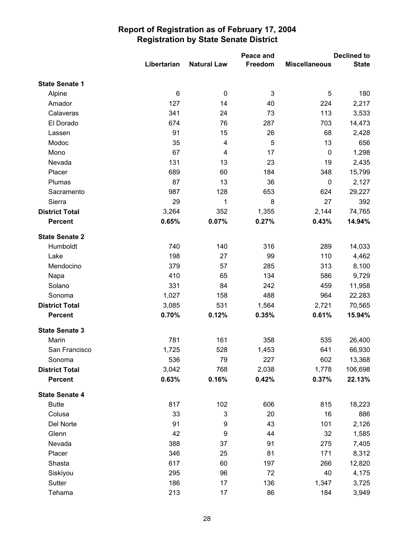|                       |             | Peace and          |                | <b>Declined to</b>   |              |
|-----------------------|-------------|--------------------|----------------|----------------------|--------------|
|                       | Libertarian | <b>Natural Law</b> | Freedom        | <b>Miscellaneous</b> | <b>State</b> |
| <b>State Senate 1</b> |             |                    |                |                      |              |
| Alpine                | 6           | $\pmb{0}$          | $\mathfrak{B}$ | $\sqrt{5}$           | 180          |
| Amador                | 127         | 14                 | 40             | 224                  | 2,217        |
| Calaveras             | 341         | 24                 | 73             | 113                  | 3,533        |
| El Dorado             | 674         | 76                 | 287            | 703                  | 14,473       |
| Lassen                | 91          | 15                 | 26             | 68                   | 2,428        |
| Modoc                 | 35          | 4                  | 5              | 13                   | 656          |
| Mono                  | 67          | 4                  | 17             | $\mathbf 0$          | 1,298        |
| Nevada                | 131         | 13                 | 23             | 19                   | 2,435        |
| Placer                | 689         | 60                 | 184            | 348                  | 15,799       |
| Plumas                | 87          | 13                 | 36             | $\pmb{0}$            | 2,127        |
| Sacramento            | 987         | 128                | 653            | 624                  | 29,227       |
| Sierra                | 29          | 1                  | 8              | 27                   | 392          |
| <b>District Total</b> | 3,264       | 352                | 1,355          | 2,144                | 74,765       |
| <b>Percent</b>        | 0.65%       | 0.07%              | 0.27%          | 0.43%                | 14.94%       |
| <b>State Senate 2</b> |             |                    |                |                      |              |
| Humboldt              | 740         | 140                | 316            | 289                  | 14,033       |
| Lake                  | 198         | 27                 | 99             | 110                  | 4,462        |
| Mendocino             | 379         | 57                 | 285            | 313                  | 8,100        |
| Napa                  | 410         | 65                 | 134            | 586                  | 9,729        |
| Solano                | 331         | 84                 | 242            | 459                  | 11,958       |
| Sonoma                | 1,027       | 158                | 488            | 964                  | 22,283       |
| <b>District Total</b> | 3,085       | 531                | 1,564          | 2,721                | 70,565       |
| <b>Percent</b>        | 0.70%       | 0.12%              | 0.35%          | 0.61%                | 15.94%       |
| <b>State Senate 3</b> |             |                    |                |                      |              |
| Marin                 | 781         | 161                | 358            | 535                  | 26,400       |
| San Francisco         | 1,725       | 528                | 1,453          | 641                  | 66,930       |
| Sonoma                | 536         | 79                 | 227            | 602                  | 13,368       |
| <b>District Total</b> | 3,042       | 768                | 2,038          | 1,778                | 106,698      |
| <b>Percent</b>        | 0.63%       | 0.16%              | 0.42%          | 0.37%                | 22.13%       |
| <b>State Senate 4</b> |             |                    |                |                      |              |
| <b>Butte</b>          | 817         | 102                | 606            | 815                  | 18,223       |
| Colusa                | 33          | $\mathsf 3$        | 20             | 16                   | 886          |
| Del Norte             | 91          | 9                  | 43             | 101                  | 2,126        |
| Glenn                 | 42          | $\boldsymbol{9}$   | 44             | 32                   | 1,585        |
| Nevada                | 388         | 37                 | 91             | 275                  | 7,405        |
| Placer                | 346         | 25                 | 81             | 171                  | 8,312        |
| Shasta                | 617         | 60                 | 197            | 266                  | 12,820       |
| Siskiyou              | 295         | 96                 | 72             | 40                   | 4,175        |
| Sutter                | 186         | 17                 | 136            | 1,347                | 3,725        |
| Tehama                | 213         | 17                 | 86             | 184                  | 3,949        |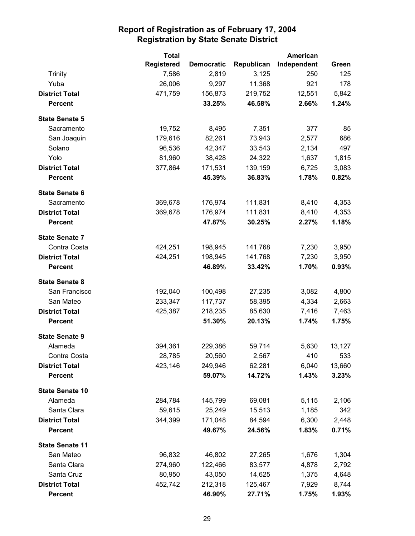|                        | <b>Total</b><br><b>American</b> |                   |            |             |        |
|------------------------|---------------------------------|-------------------|------------|-------------|--------|
|                        | <b>Registered</b>               | <b>Democratic</b> | Republican | Independent | Green  |
| <b>Trinity</b>         | 7,586                           | 2,819             | 3,125      | 250         | 125    |
| Yuba                   | 26,006                          | 9,297             | 11,368     | 921         | 178    |
| <b>District Total</b>  | 471,759                         | 156,873           | 219,752    | 12,551      | 5,842  |
| <b>Percent</b>         |                                 | 33.25%            | 46.58%     | 2.66%       | 1.24%  |
| <b>State Senate 5</b>  |                                 |                   |            |             |        |
| Sacramento             | 19,752                          | 8,495             | 7,351      | 377         | 85     |
| San Joaquin            | 179,616                         | 82,261            | 73,943     | 2,577       | 686    |
| Solano                 | 96,536                          | 42,347            | 33,543     | 2,134       | 497    |
| Yolo                   | 81,960                          | 38,428            | 24,322     | 1,637       | 1,815  |
| <b>District Total</b>  | 377,864                         | 171,531           | 139,159    | 6,725       | 3,083  |
| <b>Percent</b>         |                                 | 45.39%            | 36.83%     | 1.78%       | 0.82%  |
| <b>State Senate 6</b>  |                                 |                   |            |             |        |
| Sacramento             | 369,678                         | 176,974           | 111,831    | 8,410       | 4,353  |
| <b>District Total</b>  | 369,678                         | 176,974           | 111,831    | 8,410       | 4,353  |
| <b>Percent</b>         |                                 | 47.87%            | 30.25%     | 2.27%       | 1.18%  |
| <b>State Senate 7</b>  |                                 |                   |            |             |        |
| Contra Costa           | 424,251                         | 198,945           | 141,768    | 7,230       | 3,950  |
| <b>District Total</b>  | 424,251                         | 198,945           | 141,768    | 7,230       | 3,950  |
| <b>Percent</b>         |                                 | 46.89%            | 33.42%     | 1.70%       | 0.93%  |
| <b>State Senate 8</b>  |                                 |                   |            |             |        |
| San Francisco          | 192,040                         | 100,498           | 27,235     | 3,082       | 4,800  |
| San Mateo              | 233,347                         | 117,737           | 58,395     | 4,334       | 2,663  |
| <b>District Total</b>  | 425,387                         | 218,235           | 85,630     | 7,416       | 7,463  |
| <b>Percent</b>         |                                 | 51.30%            | 20.13%     | 1.74%       | 1.75%  |
| <b>State Senate 9</b>  |                                 |                   |            |             |        |
| Alameda                | 394,361                         | 229,386           | 59,714     | 5,630       | 13,127 |
| Contra Costa           | 28,785                          | 20,560            | 2,567      | 410         | 533    |
| <b>District Total</b>  | 423,146                         | 249,946           | 62,281     | 6,040       | 13,660 |
| <b>Percent</b>         |                                 | 59.07%            | 14.72%     | 1.43%       | 3.23%  |
| <b>State Senate 10</b> |                                 |                   |            |             |        |
| Alameda                | 284,784                         | 145,799           | 69,081     | 5,115       | 2,106  |
| Santa Clara            | 59,615                          | 25,249            | 15,513     | 1,185       | 342    |
| <b>District Total</b>  | 344,399                         | 171,048           | 84,594     | 6,300       | 2,448  |
| <b>Percent</b>         |                                 | 49.67%            | 24.56%     | 1.83%       | 0.71%  |
| <b>State Senate 11</b> |                                 |                   |            |             |        |
| San Mateo              | 96,832                          | 46,802            | 27,265     | 1,676       | 1,304  |
| Santa Clara            | 274,960                         | 122,466           | 83,577     | 4,878       | 2,792  |
| Santa Cruz             | 80,950                          | 43,050            | 14,625     | 1,375       | 4,648  |
| <b>District Total</b>  | 452,742                         | 212,318           | 125,467    | 7,929       | 8,744  |
| <b>Percent</b>         |                                 | 46.90%            | 27.71%     | 1.75%       | 1.93%  |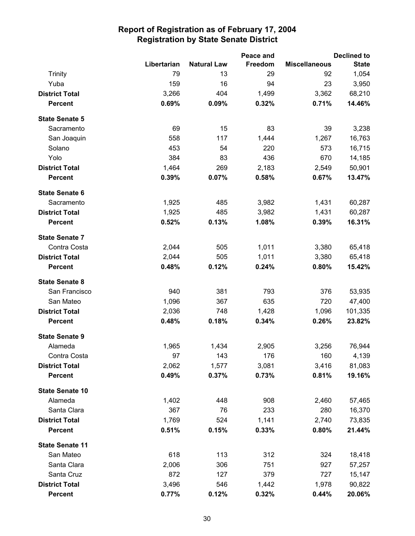|                        |             |                    | Peace and |                      | <b>Declined to</b> |
|------------------------|-------------|--------------------|-----------|----------------------|--------------------|
|                        | Libertarian | <b>Natural Law</b> | Freedom   | <b>Miscellaneous</b> | <b>State</b>       |
| Trinity                | 79          | 13                 | 29        | 92                   | 1,054              |
| Yuba                   | 159         | 16                 | 94        | 23                   | 3,950              |
| <b>District Total</b>  | 3,266       | 404                | 1,499     | 3,362                | 68,210             |
| <b>Percent</b>         | 0.69%       | 0.09%              | 0.32%     | 0.71%                | 14.46%             |
| <b>State Senate 5</b>  |             |                    |           |                      |                    |
| Sacramento             | 69          | 15                 | 83        | 39                   | 3,238              |
| San Joaquin            | 558         | 117                | 1,444     | 1,267                | 16,763             |
| Solano                 | 453         | 54                 | 220       | 573                  | 16,715             |
| Yolo                   | 384         | 83                 | 436       | 670                  | 14,185             |
| <b>District Total</b>  | 1,464       | 269                | 2,183     | 2,549                | 50,901             |
| <b>Percent</b>         | 0.39%       | 0.07%              | 0.58%     | 0.67%                | 13.47%             |
| <b>State Senate 6</b>  |             |                    |           |                      |                    |
| Sacramento             | 1,925       | 485                | 3,982     | 1,431                | 60,287             |
| <b>District Total</b>  | 1,925       | 485                | 3,982     | 1,431                | 60,287             |
| <b>Percent</b>         | 0.52%       | 0.13%              | 1.08%     | 0.39%                | 16.31%             |
| <b>State Senate 7</b>  |             |                    |           |                      |                    |
| Contra Costa           | 2,044       | 505                | 1,011     | 3,380                | 65,418             |
| <b>District Total</b>  | 2,044       | 505                | 1,011     | 3,380                | 65,418             |
| <b>Percent</b>         | 0.48%       | 0.12%              | 0.24%     | 0.80%                | 15.42%             |
| <b>State Senate 8</b>  |             |                    |           |                      |                    |
| San Francisco          | 940         | 381                | 793       | 376                  | 53,935             |
| San Mateo              | 1,096       | 367                | 635       | 720                  | 47,400             |
| <b>District Total</b>  | 2,036       | 748                | 1,428     | 1,096                | 101,335            |
| <b>Percent</b>         | 0.48%       | 0.18%              | 0.34%     | 0.26%                | 23.82%             |
| <b>State Senate 9</b>  |             |                    |           |                      |                    |
| Alameda                | 1,965       | 1,434              | 2,905     | 3,256                | 76,944             |
| Contra Costa           | 97          | 143                | 176       | 160                  | 4,139              |
| <b>District Total</b>  | 2,062       | 1,577              | 3,081     | 3,416                | 81,083             |
| <b>Percent</b>         | 0.49%       | 0.37%              | 0.73%     | 0.81%                | 19.16%             |
| <b>State Senate 10</b> |             |                    |           |                      |                    |
| Alameda                | 1,402       | 448                | 908       | 2,460                | 57,465             |
| Santa Clara            | 367         | 76                 | 233       | 280                  | 16,370             |
| <b>District Total</b>  | 1,769       | 524                | 1,141     | 2,740                | 73,835             |
| <b>Percent</b>         | 0.51%       | 0.15%              | 0.33%     | 0.80%                | 21.44%             |
| <b>State Senate 11</b> |             |                    |           |                      |                    |
| San Mateo              | 618         | 113                | 312       | 324                  | 18,418             |
| Santa Clara            | 2,006       | 306                | 751       | 927                  | 57,257             |
| Santa Cruz             | 872         | 127                | 379       | 727                  | 15,147             |
| <b>District Total</b>  | 3,496       | 546                | 1,442     | 1,978                | 90,822             |
| <b>Percent</b>         | 0.77%       | 0.12%              | 0.32%     | 0.44%                | 20.06%             |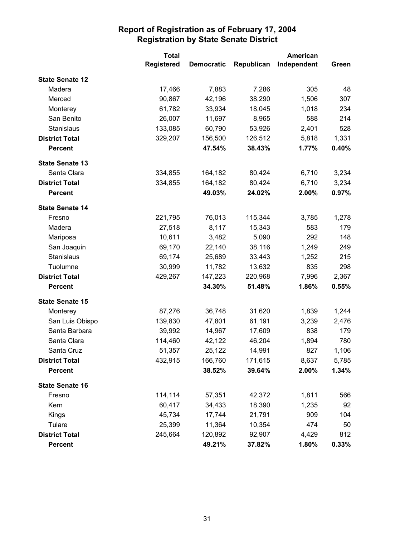|                        | <b>Total</b>      |                   | <b>American</b> |             |       |
|------------------------|-------------------|-------------------|-----------------|-------------|-------|
|                        | <b>Registered</b> | <b>Democratic</b> | Republican      | Independent | Green |
| <b>State Senate 12</b> |                   |                   |                 |             |       |
| Madera                 | 17,466            | 7,883             | 7,286           | 305         | 48    |
| Merced                 | 90,867            | 42,196            | 38,290          | 1,506       | 307   |
| Monterey               | 61,782            | 33,934            | 18,045          | 1,018       | 234   |
| San Benito             | 26,007            | 11,697            | 8,965           | 588         | 214   |
| Stanislaus             | 133,085           | 60,790            | 53,926          | 2,401       | 528   |
| <b>District Total</b>  | 329,207           | 156,500           | 126,512         | 5,818       | 1,331 |
| <b>Percent</b>         |                   | 47.54%            | 38.43%          | 1.77%       | 0.40% |
| <b>State Senate 13</b> |                   |                   |                 |             |       |
| Santa Clara            | 334,855           | 164,182           | 80,424          | 6,710       | 3,234 |
| <b>District Total</b>  | 334,855           | 164,182           | 80,424          | 6,710       | 3,234 |
| <b>Percent</b>         |                   | 49.03%            | 24.02%          | 2.00%       | 0.97% |
| <b>State Senate 14</b> |                   |                   |                 |             |       |
| Fresno                 | 221,795           | 76,013            | 115,344         | 3,785       | 1,278 |
| Madera                 | 27,518            | 8,117             | 15,343          | 583         | 179   |
| Mariposa               | 10,611            | 3,482             | 5,090           | 292         | 148   |
| San Joaquin            | 69,170            | 22,140            | 38,116          | 1,249       | 249   |
| Stanislaus             | 69,174            | 25,689            | 33,443          | 1,252       | 215   |
| Tuolumne               | 30,999            | 11,782            | 13,632          | 835         | 298   |
| <b>District Total</b>  | 429,267           | 147,223           | 220,968         | 7,996       | 2,367 |
| <b>Percent</b>         |                   | 34.30%            | 51.48%          | 1.86%       | 0.55% |
| <b>State Senate 15</b> |                   |                   |                 |             |       |
| Monterey               | 87,276            | 36,748            | 31,620          | 1,839       | 1,244 |
| San Luis Obispo        | 139,830           | 47,801            | 61,191          | 3,239       | 2,476 |
| Santa Barbara          | 39,992            | 14,967            | 17,609          | 838         | 179   |
| Santa Clara            | 114,460           | 42,122            | 46,204          | 1,894       | 780   |
| Santa Cruz             | 51,357            | 25,122            | 14,991          | 827         | 1,106 |
| <b>District Total</b>  | 432,915           | 166,760           | 171,615         | 8,637       | 5,785 |
| <b>Percent</b>         |                   | 38.52%            | 39.64%          | 2.00%       | 1.34% |
| <b>State Senate 16</b> |                   |                   |                 |             |       |
| Fresno                 | 114,114           | 57,351            | 42,372          | 1,811       | 566   |
| Kern                   | 60,417            | 34,433            | 18,390          | 1,235       | 92    |
| Kings                  | 45,734            | 17,744            | 21,791          | 909         | 104   |
| Tulare                 | 25,399            | 11,364            | 10,354          | 474         | 50    |
| <b>District Total</b>  | 245,664           | 120,892           | 92,907          | 4,429       | 812   |
| <b>Percent</b>         |                   | 49.21%            | 37.82%          | 1.80%       | 0.33% |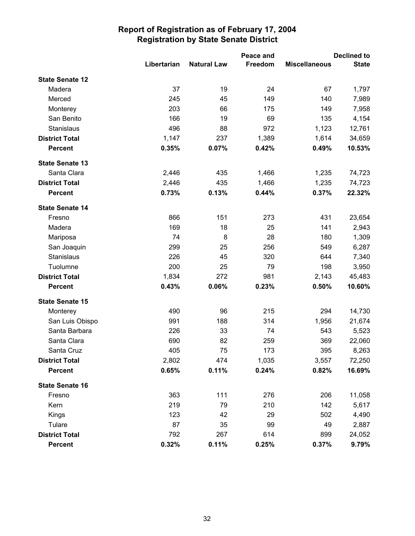|                        |             | Peace and          |         | <b>Declined to</b>   |              |
|------------------------|-------------|--------------------|---------|----------------------|--------------|
|                        | Libertarian | <b>Natural Law</b> | Freedom | <b>Miscellaneous</b> | <b>State</b> |
| <b>State Senate 12</b> |             |                    |         |                      |              |
| Madera                 | 37          | 19                 | 24      | 67                   | 1,797        |
| Merced                 | 245         | 45                 | 149     | 140                  | 7,989        |
| Monterey               | 203         | 66                 | 175     | 149                  | 7,958        |
| San Benito             | 166         | 19                 | 69      | 135                  | 4,154        |
| Stanislaus             | 496         | 88                 | 972     | 1,123                | 12,761       |
| <b>District Total</b>  | 1,147       | 237                | 1,389   | 1,614                | 34,659       |
| <b>Percent</b>         | 0.35%       | 0.07%              | 0.42%   | 0.49%                | 10.53%       |
| <b>State Senate 13</b> |             |                    |         |                      |              |
| Santa Clara            | 2,446       | 435                | 1,466   | 1,235                | 74,723       |
| <b>District Total</b>  | 2,446       | 435                | 1,466   | 1,235                | 74,723       |
| <b>Percent</b>         | 0.73%       | 0.13%              | 0.44%   | 0.37%                | 22.32%       |
| <b>State Senate 14</b> |             |                    |         |                      |              |
| Fresno                 | 866         | 151                | 273     | 431                  | 23,654       |
| Madera                 | 169         | 18                 | 25      | 141                  | 2,943        |
| Mariposa               | 74          | 8                  | 28      | 180                  | 1,309        |
| San Joaquin            | 299         | 25                 | 256     | 549                  | 6,287        |
| Stanislaus             | 226         | 45                 | 320     | 644                  | 7,340        |
| Tuolumne               | 200         | 25                 | 79      | 198                  | 3,950        |
| <b>District Total</b>  | 1,834       | 272                | 981     | 2,143                | 45,483       |
| <b>Percent</b>         | 0.43%       | 0.06%              | 0.23%   | 0.50%                | 10.60%       |
| <b>State Senate 15</b> |             |                    |         |                      |              |
| Monterey               | 490         | 96                 | 215     | 294                  | 14,730       |
| San Luis Obispo        | 991         | 188                | 314     | 1,956                | 21,674       |
| Santa Barbara          | 226         | 33                 | 74      | 543                  | 5,523        |
| Santa Clara            | 690         | 82                 | 259     | 369                  | 22,060       |
| Santa Cruz             | 405         | 75                 | 173     | 395                  | 8,263        |
| <b>District Total</b>  | 2,802       | 474                | 1,035   | 3,557                | 72,250       |
| <b>Percent</b>         | 0.65%       | 0.11%              | 0.24%   | 0.82%                | 16.69%       |
| <b>State Senate 16</b> |             |                    |         |                      |              |
| Fresno                 | 363         | 111                | 276     | 206                  | 11,058       |
| Kern                   | 219         | 79                 | 210     | 142                  | 5,617        |
| <b>Kings</b>           | 123         | 42                 | 29      | 502                  | 4,490        |
| Tulare                 | 87          | 35                 | 99      | 49                   | 2,887        |
| <b>District Total</b>  | 792         | 267                | 614     | 899                  | 24,052       |
| <b>Percent</b>         | 0.32%       | 0.11%              | 0.25%   | 0.37%                | 9.79%        |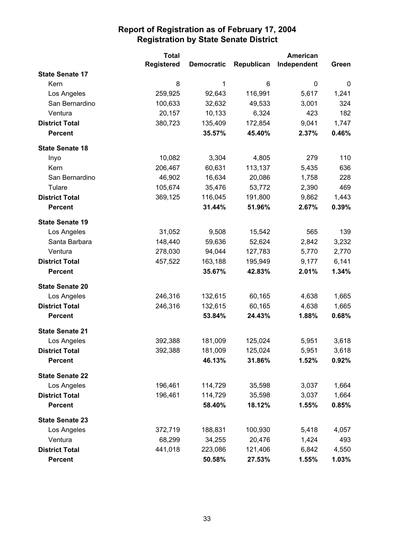|                        | <b>Total</b>      |                   | <b>American</b> |             |       |
|------------------------|-------------------|-------------------|-----------------|-------------|-------|
|                        | <b>Registered</b> | <b>Democratic</b> | Republican      | Independent | Green |
| <b>State Senate 17</b> |                   |                   |                 |             |       |
| Kern                   | 8                 | 1                 | 6               | 0           | 0     |
| Los Angeles            | 259,925           | 92,643            | 116,991         | 5,617       | 1,241 |
| San Bernardino         | 100,633           | 32,632            | 49,533          | 3,001       | 324   |
| Ventura                | 20,157            | 10,133            | 6,324           | 423         | 182   |
| <b>District Total</b>  | 380,723           | 135,409           | 172,854         | 9,041       | 1,747 |
| <b>Percent</b>         |                   | 35.57%            | 45.40%          | 2.37%       | 0.46% |
| <b>State Senate 18</b> |                   |                   |                 |             |       |
| Inyo                   | 10,082            | 3,304             | 4,805           | 279         | 110   |
| Kern                   | 206,467           | 60,631            | 113,137         | 5,435       | 636   |
| San Bernardino         | 46,902            | 16,634            | 20,086          | 1,758       | 228   |
| Tulare                 | 105,674           | 35,476            | 53,772          | 2,390       | 469   |
| <b>District Total</b>  | 369,125           | 116,045           | 191,800         | 9,862       | 1,443 |
| <b>Percent</b>         |                   | 31.44%            | 51.96%          | 2.67%       | 0.39% |
| <b>State Senate 19</b> |                   |                   |                 |             |       |
| Los Angeles            | 31,052            | 9,508             | 15,542          | 565         | 139   |
| Santa Barbara          | 148,440           | 59,636            | 52,624          | 2,842       | 3,232 |
| Ventura                | 278,030           | 94,044            | 127,783         | 5,770       | 2,770 |
| <b>District Total</b>  | 457,522           | 163,188           | 195,949         | 9,177       | 6,141 |
| <b>Percent</b>         |                   | 35.67%            | 42.83%          | 2.01%       | 1.34% |
| <b>State Senate 20</b> |                   |                   |                 |             |       |
| Los Angeles            | 246,316           | 132,615           | 60,165          | 4,638       | 1,665 |
| <b>District Total</b>  | 246,316           | 132,615           | 60,165          | 4,638       | 1,665 |
| <b>Percent</b>         |                   | 53.84%            | 24.43%          | 1.88%       | 0.68% |
| <b>State Senate 21</b> |                   |                   |                 |             |       |
| Los Angeles            | 392,388           | 181,009           | 125,024         | 5,951       | 3,618 |
| <b>District Total</b>  | 392,388           | 181,009           | 125,024         | 5,951       | 3,618 |
| <b>Percent</b>         |                   | 46.13%            | 31.86%          | 1.52%       | 0.92% |
| <b>State Senate 22</b> |                   |                   |                 |             |       |
| Los Angeles            | 196,461           | 114,729           | 35,598          | 3,037       | 1,664 |
| <b>District Total</b>  | 196,461           | 114,729           | 35,598          | 3,037       | 1,664 |
| <b>Percent</b>         |                   | 58.40%            | 18.12%          | 1.55%       | 0.85% |
| <b>State Senate 23</b> |                   |                   |                 |             |       |
| Los Angeles            | 372,719           | 188,831           | 100,930         | 5,418       | 4,057 |
| Ventura                | 68,299            | 34,255            | 20,476          | 1,424       | 493   |
| <b>District Total</b>  | 441,018           | 223,086           | 121,406         | 6,842       | 4,550 |
| <b>Percent</b>         |                   | 50.58%            | 27.53%          | 1.55%       | 1.03% |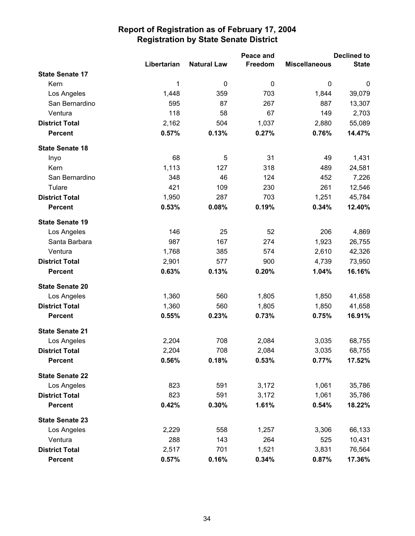|                        |             |                    | Peace and   |                      | <b>Declined to</b> |
|------------------------|-------------|--------------------|-------------|----------------------|--------------------|
|                        | Libertarian | <b>Natural Law</b> | Freedom     | <b>Miscellaneous</b> | <b>State</b>       |
| <b>State Senate 17</b> |             |                    |             |                      |                    |
| Kern                   | 1           | 0                  | $\mathbf 0$ | $\mathbf 0$          | $\boldsymbol{0}$   |
| Los Angeles            | 1,448       | 359                | 703         | 1,844                | 39,079             |
| San Bernardino         | 595         | 87                 | 267         | 887                  | 13,307             |
| Ventura                | 118         | 58                 | 67          | 149                  | 2,703              |
| <b>District Total</b>  | 2,162       | 504                | 1,037       | 2,880                | 55,089             |
| <b>Percent</b>         | 0.57%       | 0.13%              | 0.27%       | 0.76%                | 14.47%             |
| <b>State Senate 18</b> |             |                    |             |                      |                    |
| Inyo                   | 68          | 5                  | 31          | 49                   | 1,431              |
| Kern                   | 1,113       | 127                | 318         | 489                  | 24,581             |
| San Bernardino         | 348         | 46                 | 124         | 452                  | 7,226              |
| Tulare                 | 421         | 109                | 230         | 261                  | 12,546             |
| <b>District Total</b>  | 1,950       | 287                | 703         | 1,251                | 45,784             |
| <b>Percent</b>         | 0.53%       | 0.08%              | 0.19%       | 0.34%                | 12.40%             |
| <b>State Senate 19</b> |             |                    |             |                      |                    |
| Los Angeles            | 146         | 25                 | 52          | 206                  | 4,869              |
| Santa Barbara          | 987         | 167                | 274         | 1,923                | 26,755             |
| Ventura                | 1,768       | 385                | 574         | 2,610                | 42,326             |
| <b>District Total</b>  | 2,901       | 577                | 900         | 4,739                | 73,950             |
| <b>Percent</b>         | 0.63%       | 0.13%              | 0.20%       | 1.04%                | 16.16%             |
| <b>State Senate 20</b> |             |                    |             |                      |                    |
| Los Angeles            | 1,360       | 560                | 1,805       | 1,850                | 41,658             |
| <b>District Total</b>  | 1,360       | 560                | 1,805       | 1,850                | 41,658             |
| <b>Percent</b>         | 0.55%       | 0.23%              | 0.73%       | 0.75%                | 16.91%             |
| <b>State Senate 21</b> |             |                    |             |                      |                    |
| Los Angeles            | 2,204       | 708                | 2,084       | 3,035                | 68,755             |
| <b>District Total</b>  | 2,204       | 708                | 2,084       | 3,035                | 68,755             |
| <b>Percent</b>         | 0.56%       | 0.18%              | 0.53%       | 0.77%                | 17.52%             |
| <b>State Senate 22</b> |             |                    |             |                      |                    |
| Los Angeles            | 823         | 591                | 3,172       | 1,061                | 35,786             |
| <b>District Total</b>  | 823         | 591                | 3,172       | 1,061                | 35,786             |
| <b>Percent</b>         | 0.42%       | 0.30%              | 1.61%       | 0.54%                | 18.22%             |
| <b>State Senate 23</b> |             |                    |             |                      |                    |
| Los Angeles            | 2,229       | 558                | 1,257       | 3,306                | 66,133             |
| Ventura                | 288         | 143                | 264         | 525                  | 10,431             |
| <b>District Total</b>  | 2,517       | 701                | 1,521       | 3,831                | 76,564             |
| <b>Percent</b>         | 0.57%       | 0.16%              | 0.34%       | 0.87%                | 17.36%             |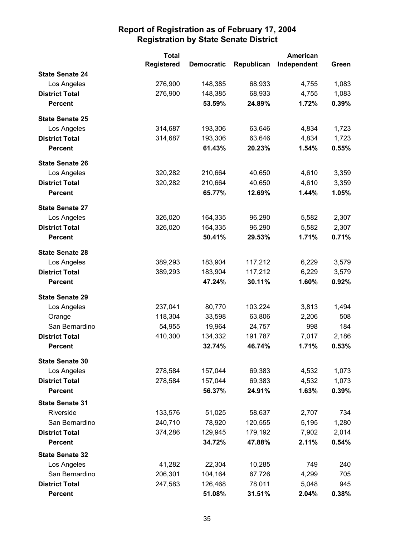|                        | <b>Total</b>      |                   | <b>American</b> |             |       |
|------------------------|-------------------|-------------------|-----------------|-------------|-------|
|                        | <b>Registered</b> | <b>Democratic</b> | Republican      | Independent | Green |
| <b>State Senate 24</b> |                   |                   |                 |             |       |
| Los Angeles            | 276,900           | 148,385           | 68,933          | 4,755       | 1,083 |
| <b>District Total</b>  | 276,900           | 148,385           | 68,933          | 4,755       | 1,083 |
| <b>Percent</b>         |                   | 53.59%            | 24.89%          | 1.72%       | 0.39% |
| <b>State Senate 25</b> |                   |                   |                 |             |       |
| Los Angeles            | 314,687           | 193,306           | 63,646          | 4,834       | 1,723 |
| <b>District Total</b>  | 314,687           | 193,306           | 63,646          | 4,834       | 1,723 |
| <b>Percent</b>         |                   | 61.43%            | 20.23%          | 1.54%       | 0.55% |
| <b>State Senate 26</b> |                   |                   |                 |             |       |
| Los Angeles            | 320,282           | 210,664           | 40,650          | 4,610       | 3,359 |
| <b>District Total</b>  | 320,282           | 210,664           | 40,650          | 4,610       | 3,359 |
| <b>Percent</b>         |                   | 65.77%            | 12.69%          | 1.44%       | 1.05% |
| <b>State Senate 27</b> |                   |                   |                 |             |       |
| Los Angeles            | 326,020           | 164,335           | 96,290          | 5,582       | 2,307 |
| <b>District Total</b>  | 326,020           | 164,335           | 96,290          | 5,582       | 2,307 |
| <b>Percent</b>         |                   | 50.41%            | 29.53%          | 1.71%       | 0.71% |
| <b>State Senate 28</b> |                   |                   |                 |             |       |
| Los Angeles            | 389,293           | 183,904           | 117,212         | 6,229       | 3,579 |
| <b>District Total</b>  | 389,293           | 183,904           | 117,212         | 6,229       | 3,579 |
| <b>Percent</b>         |                   | 47.24%            | 30.11%          | 1.60%       | 0.92% |
| <b>State Senate 29</b> |                   |                   |                 |             |       |
| Los Angeles            | 237,041           | 80,770            | 103,224         | 3,813       | 1,494 |
| Orange                 | 118,304           | 33,598            | 63,806          | 2,206       | 508   |
| San Bernardino         | 54,955            | 19,964            | 24,757          | 998         | 184   |
| <b>District Total</b>  | 410,300           | 134,332           | 191,787         | 7,017       | 2,186 |
| <b>Percent</b>         |                   | 32.74%            | 46.74%          | 1.71%       | 0.53% |
| <b>State Senate 30</b> |                   |                   |                 |             |       |
| Los Angeles            | 278,584           | 157,044           | 69,383          | 4,532       | 1,073 |
| <b>District Total</b>  | 278,584           | 157,044           | 69,383          | 4,532       | 1,073 |
| <b>Percent</b>         |                   | 56.37%            | 24.91%          | 1.63%       | 0.39% |
| <b>State Senate 31</b> |                   |                   |                 |             |       |
| Riverside              | 133,576           | 51,025            | 58,637          | 2,707       | 734   |
| San Bernardino         | 240,710           | 78,920            | 120,555         | 5,195       | 1,280 |
| <b>District Total</b>  | 374,286           | 129,945           | 179,192         | 7,902       | 2,014 |
| <b>Percent</b>         |                   | 34.72%            | 47.88%          | 2.11%       | 0.54% |
| <b>State Senate 32</b> |                   |                   |                 |             |       |
| Los Angeles            | 41,282            | 22,304            | 10,285          | 749         | 240   |
| San Bernardino         | 206,301           | 104,164           | 67,726          | 4,299       | 705   |
| <b>District Total</b>  | 247,583           | 126,468           | 78,011          | 5,048       | 945   |
| <b>Percent</b>         |                   | 51.08%            | 31.51%          | 2.04%       | 0.38% |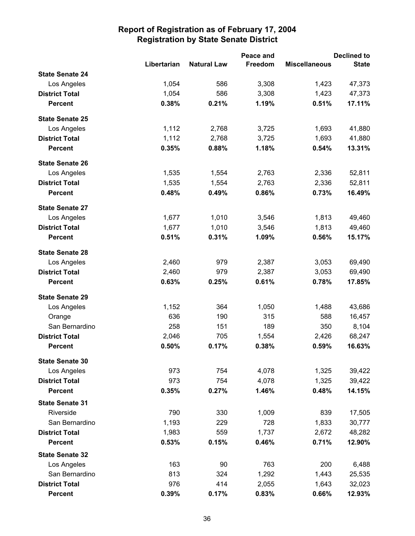|                        |             |                    | Peace and |                      | <b>Declined to</b> |
|------------------------|-------------|--------------------|-----------|----------------------|--------------------|
|                        | Libertarian | <b>Natural Law</b> | Freedom   | <b>Miscellaneous</b> | <b>State</b>       |
| <b>State Senate 24</b> |             |                    |           |                      |                    |
| Los Angeles            | 1,054       | 586                | 3,308     | 1,423                | 47,373             |
| <b>District Total</b>  | 1,054       | 586                | 3,308     | 1,423                | 47,373             |
| <b>Percent</b>         | 0.38%       | 0.21%              | 1.19%     | 0.51%                | 17.11%             |
| <b>State Senate 25</b> |             |                    |           |                      |                    |
| Los Angeles            | 1,112       | 2,768              | 3,725     | 1,693                | 41,880             |
| <b>District Total</b>  | 1,112       | 2,768              | 3,725     | 1,693                | 41,880             |
| <b>Percent</b>         | 0.35%       | 0.88%              | 1.18%     | 0.54%                | 13.31%             |
| <b>State Senate 26</b> |             |                    |           |                      |                    |
| Los Angeles            | 1,535       | 1,554              | 2,763     | 2,336                | 52,811             |
| <b>District Total</b>  | 1,535       | 1,554              | 2,763     | 2,336                | 52,811             |
| <b>Percent</b>         | 0.48%       | 0.49%              | 0.86%     | 0.73%                | 16.49%             |
| <b>State Senate 27</b> |             |                    |           |                      |                    |
| Los Angeles            | 1,677       | 1,010              | 3,546     | 1,813                | 49,460             |
| <b>District Total</b>  | 1,677       | 1,010              | 3,546     | 1,813                | 49,460             |
| <b>Percent</b>         | 0.51%       | 0.31%              | 1.09%     | 0.56%                | 15.17%             |
| <b>State Senate 28</b> |             |                    |           |                      |                    |
| Los Angeles            | 2,460       | 979                | 2,387     | 3,053                | 69,490             |
| <b>District Total</b>  | 2,460       | 979                | 2,387     | 3,053                | 69,490             |
| <b>Percent</b>         | 0.63%       | 0.25%              | 0.61%     | 0.78%                | 17.85%             |
| <b>State Senate 29</b> |             |                    |           |                      |                    |
| Los Angeles            | 1,152       | 364                | 1,050     | 1,488                | 43,686             |
| Orange                 | 636         | 190                | 315       | 588                  | 16,457             |
| San Bernardino         | 258         | 151                | 189       | 350                  | 8,104              |
| <b>District Total</b>  | 2,046       | 705                | 1,554     | 2,426                | 68,247             |
| <b>Percent</b>         | 0.50%       | 0.17%              | 0.38%     | 0.59%                | 16.63%             |
| <b>State Senate 30</b> |             |                    |           |                      |                    |
| Los Angeles            | 973         | 754                | 4,078     | 1,325                | 39,422             |
| <b>District Total</b>  | 973         | 754                | 4,078     | 1,325                | 39,422             |
| <b>Percent</b>         | 0.35%       | 0.27%              | 1.46%     | 0.48%                | 14.15%             |
| <b>State Senate 31</b> |             |                    |           |                      |                    |
| Riverside              | 790         | 330                | 1,009     | 839                  | 17,505             |
| San Bernardino         | 1,193       | 229                | 728       | 1,833                | 30,777             |
| <b>District Total</b>  | 1,983       | 559                | 1,737     | 2,672                | 48,282             |
| <b>Percent</b>         | 0.53%       | 0.15%              | 0.46%     | 0.71%                | 12.90%             |
| <b>State Senate 32</b> |             |                    |           |                      |                    |
| Los Angeles            | 163         | 90                 | 763       | 200                  | 6,488              |
| San Bernardino         | 813         | 324                | 1,292     | 1,443                | 25,535             |
| <b>District Total</b>  | 976         | 414                | 2,055     | 1,643                | 32,023             |
| <b>Percent</b>         | 0.39%       | 0.17%              | 0.83%     | 0.66%                | 12.93%             |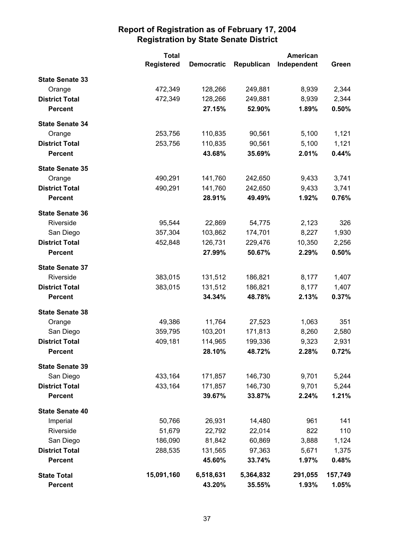|                        | <b>Total</b>      |                   | <b>American</b> |             |         |
|------------------------|-------------------|-------------------|-----------------|-------------|---------|
|                        | <b>Registered</b> | <b>Democratic</b> | Republican      | Independent | Green   |
| <b>State Senate 33</b> |                   |                   |                 |             |         |
| Orange                 | 472,349           | 128,266           | 249,881         | 8,939       | 2,344   |
| <b>District Total</b>  | 472,349           | 128,266           | 249,881         | 8,939       | 2,344   |
| <b>Percent</b>         |                   | 27.15%            | 52.90%          | 1.89%       | 0.50%   |
| <b>State Senate 34</b> |                   |                   |                 |             |         |
| Orange                 | 253,756           | 110,835           | 90,561          | 5,100       | 1,121   |
| <b>District Total</b>  | 253,756           | 110,835           | 90,561          | 5,100       | 1,121   |
| <b>Percent</b>         |                   | 43.68%            | 35.69%          | 2.01%       | 0.44%   |
| <b>State Senate 35</b> |                   |                   |                 |             |         |
| Orange                 | 490,291           | 141,760           | 242,650         | 9,433       | 3,741   |
| <b>District Total</b>  | 490,291           | 141,760           | 242,650         | 9,433       | 3,741   |
| <b>Percent</b>         |                   | 28.91%            | 49.49%          | 1.92%       | 0.76%   |
| <b>State Senate 36</b> |                   |                   |                 |             |         |
| Riverside              | 95,544            | 22,869            | 54,775          | 2,123       | 326     |
| San Diego              | 357,304           | 103,862           | 174,701         | 8,227       | 1,930   |
| <b>District Total</b>  | 452,848           | 126,731           | 229,476         | 10,350      | 2,256   |
| <b>Percent</b>         |                   | 27.99%            | 50.67%          | 2.29%       | 0.50%   |
| <b>State Senate 37</b> |                   |                   |                 |             |         |
| Riverside              | 383,015           | 131,512           | 186,821         | 8,177       | 1,407   |
| <b>District Total</b>  | 383,015           | 131,512           | 186,821         | 8,177       | 1,407   |
| <b>Percent</b>         |                   | 34.34%            | 48.78%          | 2.13%       | 0.37%   |
| <b>State Senate 38</b> |                   |                   |                 |             |         |
| Orange                 | 49,386            | 11,764            | 27,523          | 1,063       | 351     |
| San Diego              | 359,795           | 103,201           | 171,813         | 8,260       | 2,580   |
| <b>District Total</b>  | 409,181           | 114,965           | 199,336         | 9,323       | 2,931   |
| <b>Percent</b>         |                   | 28.10%            | 48.72%          | 2.28%       | 0.72%   |
| <b>State Senate 39</b> |                   |                   |                 |             |         |
| San Diego              | 433,164           | 171,857           | 146,730         | 9,701       | 5,244   |
| <b>District Total</b>  | 433,164           | 171,857           | 146,730         | 9,701       | 5,244   |
| <b>Percent</b>         |                   | 39.67%            | 33.87%          | 2.24%       | 1.21%   |
| <b>State Senate 40</b> |                   |                   |                 |             |         |
| Imperial               | 50,766            | 26,931            | 14,480          | 961         | 141     |
| Riverside              | 51,679            | 22,792            | 22,014          | 822         | 110     |
| San Diego              | 186,090           | 81,842            | 60,869          | 3,888       | 1,124   |
| <b>District Total</b>  | 288,535           | 131,565           | 97,363          | 5,671       | 1,375   |
| <b>Percent</b>         |                   | 45.60%            | 33.74%          | 1.97%       | 0.48%   |
| <b>State Total</b>     | 15,091,160        | 6,518,631         | 5,364,832       | 291,055     | 157,749 |
| <b>Percent</b>         |                   | 43.20%            | 35.55%          | 1.93%       | 1.05%   |